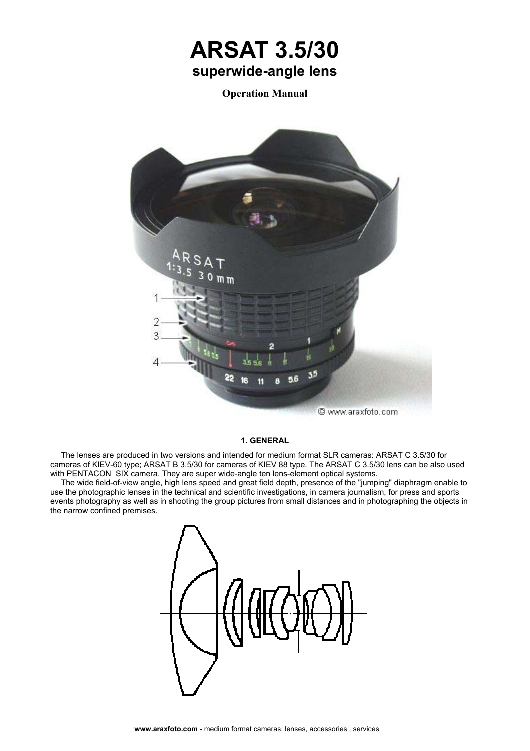# **ARSAT 3.5/30 superwide-angle lens**

**Operation Manual** 



### **1. GENERAL**

The lenses are produced in two versions and intended for medium format SLR cameras: ARSAT С 3.5/30 for cameras of KIEV-60 type; ARSAT В 3.5/30 for cameras of KIEV 88 type. The ARSAT С 3.5/30 lens can be also used with PENTACON SIX camera. They are super wide-angle ten lens-element optical systems.

The wide field-of-view angle, high lens speed and great field depth, presence of the "jumping" diaphragm enable to use the photographic lenses in the technical and scientific investigations, in camera journalism, for press and sports events photography as well as in shooting the group pictures from small distances and in photographing the objects in the narrow confined premises.